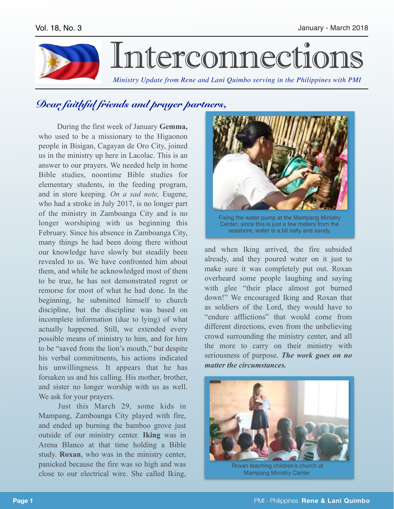

## *Dear faithful friends and prayer partners,*

 During the first week of January **Gemma,**  who used to be a missionary to the Higaonon people in Bisigan, Cagayan de Oro City, joined us in the ministry up here in Lacolac. This is an answer to our prayers. We needed help in home Bible studies, noontime Bible studies for elementary students, in the feeding program, and in store keeping. *On a sad note,* Eugene, who had a stroke in July 2017, is no longer part of the ministry in Zamboanga City and is no longer worshiping with us beginning this February. Since his absence in Zamboanga City, many things he had been doing there without our knowledge have slowly but steadily been revealed to us. We have confronted him about them, and while he acknowledged most of them to be true, he has not demonstrated regret or remorse for most of what he had done. In the beginning, he submitted himself to church discipline, but the discipline was based on incomplete information (due to lying) of what actually happened. Still, we extended every possible means of ministry to him, and for him to be "saved from the lion's mouth," but despite his verbal commitments, his actions indicated his unwillingness. It appears that he has forsaken us and his calling. His mother, brother, and sister no longer worship with us as well. We ask for your prayers.

Just this March 29, some kids in Mampang, Zamboanga City played with fire, and ended up burning the bamboo grove just outside of our ministry center. **Iking** was in Arena Blanco at that time holding a Bible study. **Roxan**, who was in the ministry center, panicked because the fire was so high and was close to our electrical wire. She called Iking,



Fixing the water pump at the Mampang Ministry Center; since this is just a few meters from the seashore, water is a bit salty and sandy.

and when Iking arrived, the fire subsided already, and they poured water on it just to make sure it was completely put out. Roxan overheard some people laughing and saying with glee "their place almost got burned down!" We encouraged Iking and Roxan that as soldiers of the Lord, they would have to "endure afflictions" that would come from different directions, even from the unbelieving crowd surrounding the ministry center, and all the more to carry on their ministry with seriousness of purpose. *The work goes on no matter the circumstances.*



Mampang Ministry Center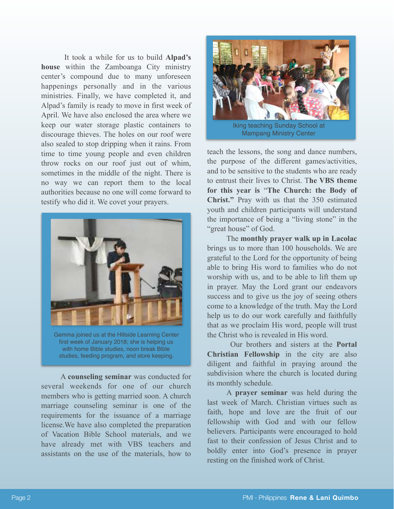It took a while for us to build **Alpad's house** within the Zamboanga City ministry center's compound due to many unforeseen happenings personally and in the various ministries. Finally, we have completed it, and Alpad's family is ready to move in first week of April. We have also enclosed the area where we keep our water storage plastic containers to discourage thieves. The holes on our roof were also sealed to stop dripping when it rains. From time to time young people and even children throw rocks on our roof just out of whim, sometimes in the middle of the night. There is no way we can report them to the local authorities because no one will come forward to testify who did it. We covet your prayers.



Gemma joined us at the Hillside Learning Center first week of January 2018; she is helping us with home Bible studies, noon break Bible studies, feeding program, and store keeping.

A **counseling seminar** was conducted for several weekends for one of our church members who is getting married soon. A church marriage counseling seminar is one of the requirements for the issuance of a marriage license.We have also completed the preparation of Vacation Bible School materials, and we have already met with VBS teachers and assistants on the use of the materials, how to



teach the lessons, the song and dance numbers, the purpose of the different games/activities, and to be sensitive to the students who are ready to entrust their lives to Christ. T**he VBS theme for this year is** "**The Church: the Body of Christ."** Pray with us that the 350 estimated youth and children participants will understand the importance of being a "living stone" in the "great house" of God.

The **monthly prayer walk up in Lacolac**  brings us to more than 100 households. We are grateful to the Lord for the opportunity of being able to bring His word to families who do not worship with us, and to be able to lift them up in prayer. May the Lord grant our endeavors success and to give us the joy of seeing others come to a knowledge of the truth. May the Lord help us to do our work carefully and faithfully that as we proclaim His word, people will trust the Christ who is revealed in His word.

 Our brothers and sisters at the **Portal Christian Fellowship** in the city are also diligent and faithful in praying around the subdivision where the church is located during its monthly schedule.

A **prayer seminar** was held during the last week of March. Christian virtues such as faith, hope and love are the fruit of our fellowship with God and with our fellow believers. Participants were encouraged to hold fast to their confession of Jesus Christ and to boldly enter into God's presence in prayer resting on the finished work of Christ.